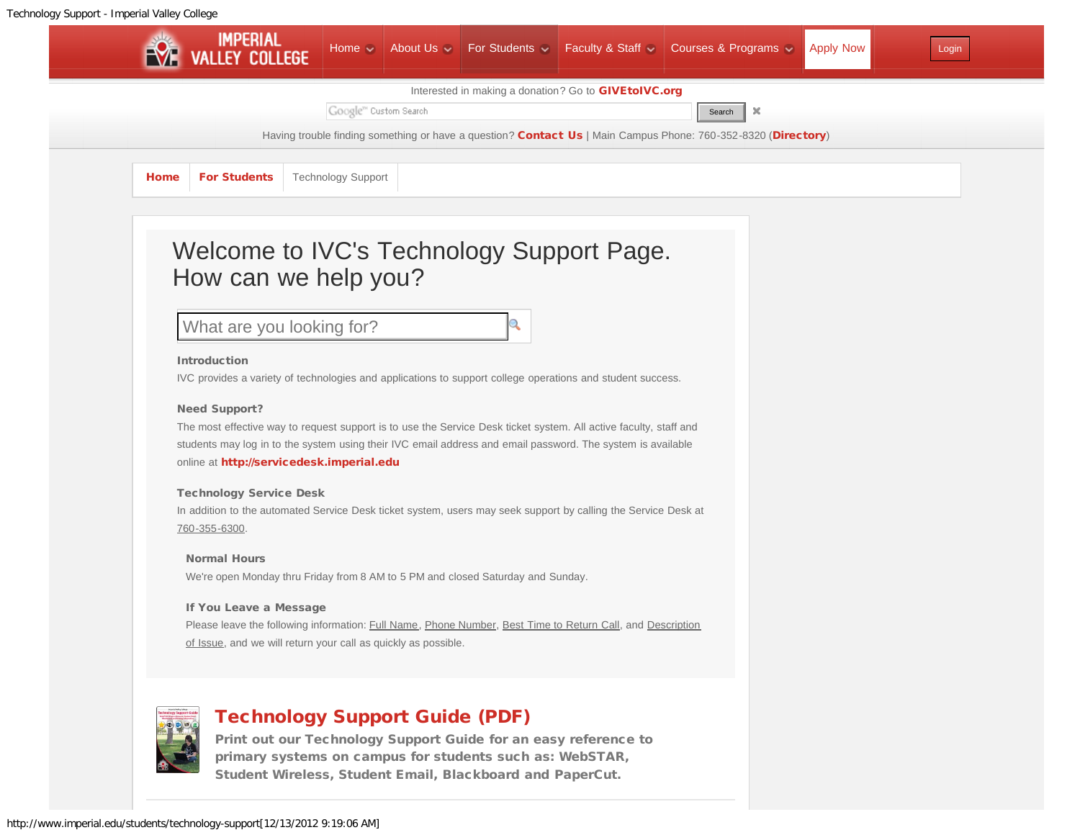<span id="page-0-0"></span>

What are you looking for?

### Introduction

IVC provides a variety of technologies and applications to support college operations and student success.

### Need Support?

The most effective way to request support is to use the Service Desk ticket system. All active faculty, staff and students may log in to the system using their IVC email address and email password. The system is available online at [http://servicedesk.imperial.edu](http://servicedesk.imperial.edu/)

### Technology Service Desk

In addition to the automated Service Desk ticket system, users may seek support by calling the Service Desk at 760-355-6300.

#### Normal Hours

We're open Monday thru Friday from 8 AM to 5 PM and closed Saturday and Sunday.

### If You Leave a Message

Please leave the following information: Full Name, Phone Number, Best Time to Return Call, and Description of Issue, and we will return your call as quickly as possible.



# [Technology Support Guide \(PDF\)](http://www.imperial.edu/index.php?option=com_docman&task=doc_view&gid=3104&Itemid=762)

[Print out our Technology Support Guide for an easy reference to](http://www.imperial.edu/index.php?option=com_docman&task=doc_view&gid=3104&Itemid=762) [primary systems on campus for students such as: WebSTAR,](http://www.imperial.edu/index.php?option=com_docman&task=doc_view&gid=3104&Itemid=762) [Student Wireless, Student Email, Blackboard and PaperCut.](http://www.imperial.edu/index.php?option=com_docman&task=doc_view&gid=3104&Itemid=762)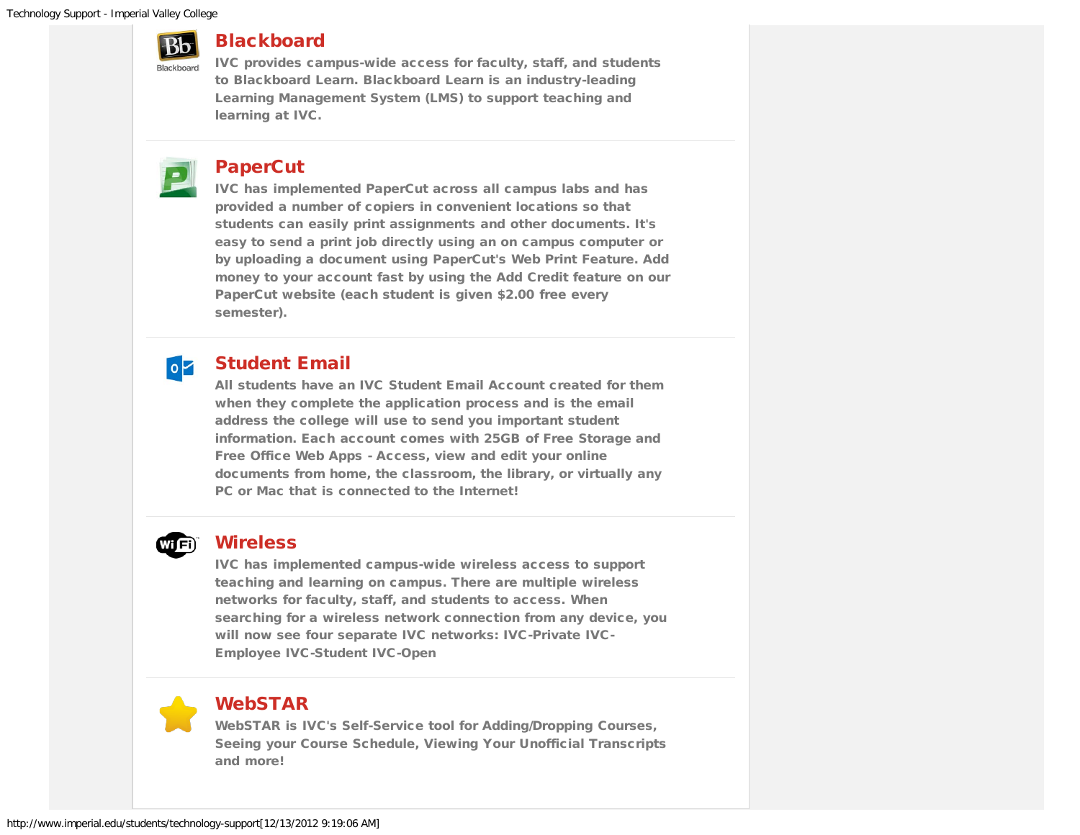

## **[Blackboard](http://www.imperial.edu/category/878-blackboard)**

[IVC provides campus-wide access for faculty, staff, and students](http://www.imperial.edu/category/878-blackboard) [to Blackboard Learn. Blackboard Learn is an industry-leading](http://www.imperial.edu/category/878-blackboard) [Learning Management System \(LMS\) to support teaching and](http://www.imperial.edu/category/878-blackboard) [learning at IVC.](http://www.imperial.edu/category/878-blackboard)

# [PaperCut](http://www.imperial.edu/category/877-papercut)

[IVC has implemented PaperCut across all campus labs and has](http://www.imperial.edu/category/877-papercut) [provided a number of copiers in convenient locations so that](http://www.imperial.edu/category/877-papercut) [students can easily print assignments and other documents. It's](http://www.imperial.edu/category/877-papercut) [easy to send a print job directly using an on campus computer or](http://www.imperial.edu/category/877-papercut) [by uploading a document using PaperCut's Web Print Feature. Add](http://www.imperial.edu/category/877-papercut) [money to your account fast by using the Add Credit feature on our](http://www.imperial.edu/category/877-papercut) [PaperCut website \(each student is given \\$2.00 free every](http://www.imperial.edu/category/877-papercut) [semester\).](http://www.imperial.edu/category/877-papercut)

#### [Student Email](http://www.imperial.edu/category/909-student-email)  $\circ$

[All students have an IVC Student Email Account created for them](http://www.imperial.edu/category/909-student-email) [when they complete the application process and is the email](http://www.imperial.edu/category/909-student-email) [address the college will use to send you important student](http://www.imperial.edu/category/909-student-email) [information. Each account comes with 25GB of Free Storage and](http://www.imperial.edu/category/909-student-email) [Free Office Web Apps - Access, view and edit your online](http://www.imperial.edu/category/909-student-email) [documents from home, the classroom, the library, or virtually any](http://www.imperial.edu/category/909-student-email) [PC or Mac that is connected to the Internet!](http://www.imperial.edu/category/909-student-email)

# WIED

# **[Wireless](http://www.imperial.edu/category/879-wireless)**

[IVC has implemented campus-wide wireless access to support](http://www.imperial.edu/category/879-wireless) [teaching and learning on campus. There are multiple wireless](http://www.imperial.edu/category/879-wireless) [networks for faculty, staff, and students to access. When](http://www.imperial.edu/category/879-wireless) [searching for a wireless network connection from any device, you](http://www.imperial.edu/category/879-wireless) [will now see four separate IVC networks: IVC-Private IVC-](http://www.imperial.edu/category/879-wireless)[Employee IVC-Student IVC-Open](http://www.imperial.edu/category/879-wireless)



### [WebSTAR](http://www.imperial.edu/category/887-webstar)

[WebSTAR is IVC's Self-Service tool for Adding/Dropping Courses,](http://www.imperial.edu/category/887-webstar) [Seeing your Course Schedule, Viewing Your Unofficial Transcripts](http://www.imperial.edu/category/887-webstar) [and more!](http://www.imperial.edu/category/887-webstar)